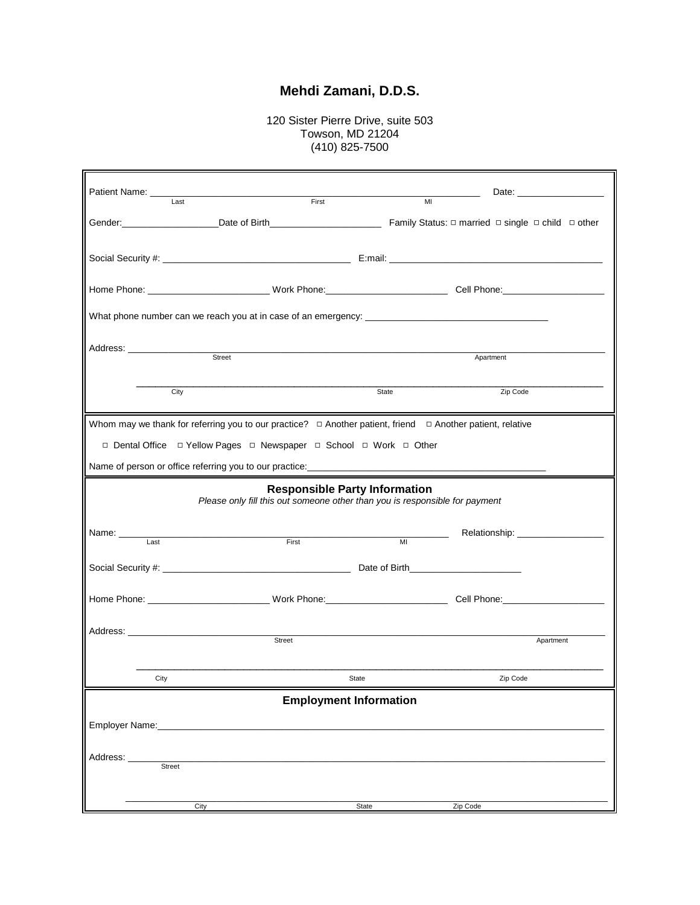## **Mehdi Zamani, D.D.S.**

120 Sister Pierre Drive, suite 503 Towson, MD 21204 (410) 825-7500

r

|                                                                                                                      |                                                                                                                     |                                                                                                                                  | Date: <u>_________________</u> |  |  |
|----------------------------------------------------------------------------------------------------------------------|---------------------------------------------------------------------------------------------------------------------|----------------------------------------------------------------------------------------------------------------------------------|--------------------------------|--|--|
| Last                                                                                                                 | First                                                                                                               | MI                                                                                                                               |                                |  |  |
|                                                                                                                      |                                                                                                                     |                                                                                                                                  |                                |  |  |
|                                                                                                                      |                                                                                                                     |                                                                                                                                  |                                |  |  |
|                                                                                                                      |                                                                                                                     |                                                                                                                                  |                                |  |  |
|                                                                                                                      |                                                                                                                     |                                                                                                                                  |                                |  |  |
| Street                                                                                                               |                                                                                                                     | Apartment                                                                                                                        |                                |  |  |
|                                                                                                                      |                                                                                                                     |                                                                                                                                  |                                |  |  |
| City                                                                                                                 |                                                                                                                     | State                                                                                                                            | Zip Code                       |  |  |
| Whom may we thank for referring you to our practice? $\Box$ Another patient, friend $\Box$ Another patient, relative |                                                                                                                     |                                                                                                                                  |                                |  |  |
|                                                                                                                      | □ Dental Office □ Yellow Pages □ Newspaper □ School □ Work □ Other                                                  |                                                                                                                                  |                                |  |  |
|                                                                                                                      |                                                                                                                     |                                                                                                                                  |                                |  |  |
|                                                                                                                      | <b>Responsible Party Information</b><br>Please only fill this out someone other than you is responsible for payment |                                                                                                                                  |                                |  |  |
| Last                                                                                                                 | First                                                                                                               | $\mathcal{L}^{\mathcal{L}}(\mathcal{L}^{\mathcal{L}})$ . The set of $\mathcal{L}^{\mathcal{L}}(\mathcal{L}^{\mathcal{L}})$<br>MI |                                |  |  |
|                                                                                                                      |                                                                                                                     |                                                                                                                                  |                                |  |  |
|                                                                                                                      |                                                                                                                     |                                                                                                                                  |                                |  |  |
|                                                                                                                      |                                                                                                                     |                                                                                                                                  |                                |  |  |
|                                                                                                                      | Street                                                                                                              |                                                                                                                                  | Apartment                      |  |  |
|                                                                                                                      |                                                                                                                     |                                                                                                                                  |                                |  |  |
| City                                                                                                                 | State                                                                                                               |                                                                                                                                  | Zip Code                       |  |  |
|                                                                                                                      | <b>Employment Information</b>                                                                                       |                                                                                                                                  |                                |  |  |
| Employer Name: Name:                                                                                                 |                                                                                                                     |                                                                                                                                  |                                |  |  |
| Address:                                                                                                             |                                                                                                                     |                                                                                                                                  |                                |  |  |
| Street                                                                                                               |                                                                                                                     |                                                                                                                                  |                                |  |  |
| City                                                                                                                 |                                                                                                                     | State<br>Zip Code                                                                                                                |                                |  |  |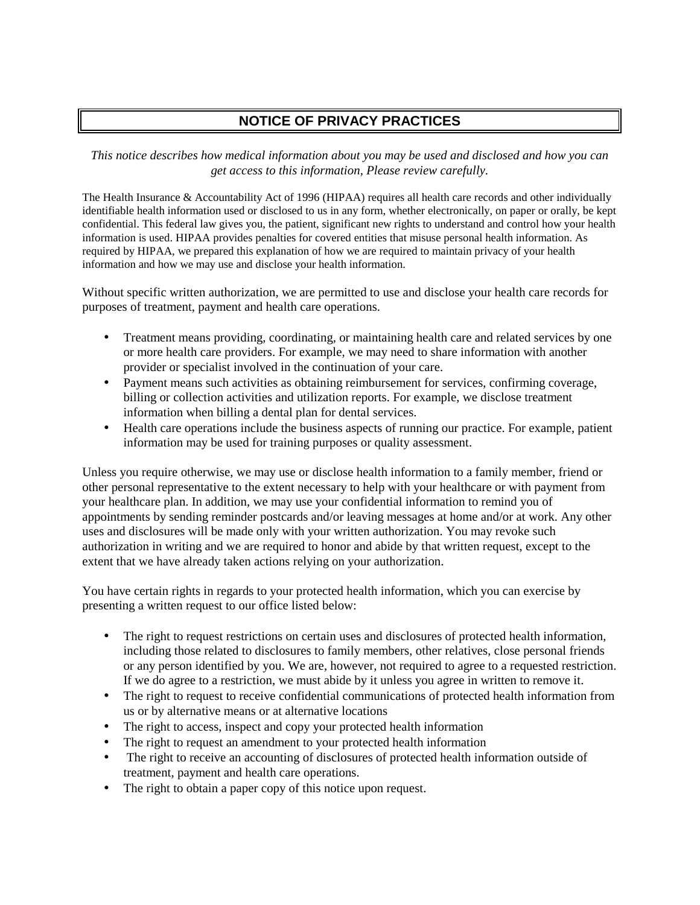## **NOTICE OF PRIVACY PRACTICES**

*This notice describes how medical information about you may be used and disclosed and how you can get access to this information, Please review carefully.*

The Health Insurance & Accountability Act of 1996 (HIPAA) requires all health care records and other individually identifiable health information used or disclosed to us in any form, whether electronically, on paper or orally, be kept confidential. This federal law gives you, the patient, significant new rights to understand and control how your health information is used. HIPAA provides penalties for covered entities that misuse personal health information. As required by HIPAA, we prepared this explanation of how we are required to maintain privacy of your health information and how we may use and disclose your health information.

Without specific written authorization, we are permitted to use and disclose your health care records for purposes of treatment, payment and health care operations.

- Treatment means providing, coordinating, or maintaining health care and related services by one or more health care providers. For example, we may need to share information with another provider or specialist involved in the continuation of your care.
- Payment means such activities as obtaining reimbursement for services, confirming coverage, billing or collection activities and utilization reports. For example, we disclose treatment information when billing a dental plan for dental services.
- Health care operations include the business aspects of running our practice. For example, patient information may be used for training purposes or quality assessment.

Unless you require otherwise, we may use or disclose health information to a family member, friend or other personal representative to the extent necessary to help with your healthcare or with payment from your healthcare plan. In addition, we may use your confidential information to remind you of appointments by sending reminder postcards and/or leaving messages at home and/or at work. Any other uses and disclosures will be made only with your written authorization. You may revoke such authorization in writing and we are required to honor and abide by that written request, except to the extent that we have already taken actions relying on your authorization.

You have certain rights in regards to your protected health information, which you can exercise by presenting a written request to our office listed below:

- The right to request restrictions on certain uses and disclosures of protected health information, including those related to disclosures to family members, other relatives, close personal friends or any person identified by you. We are, however, not required to agree to a requested restriction. If we do agree to a restriction, we must abide by it unless you agree in written to remove it.
- The right to request to receive confidential communications of protected health information from us or by alternative means or at alternative locations
- The right to access, inspect and copy your protected health information
- The right to request an amendment to your protected health information
- The right to receive an accounting of disclosures of protected health information outside of treatment, payment and health care operations.
- The right to obtain a paper copy of this notice upon request.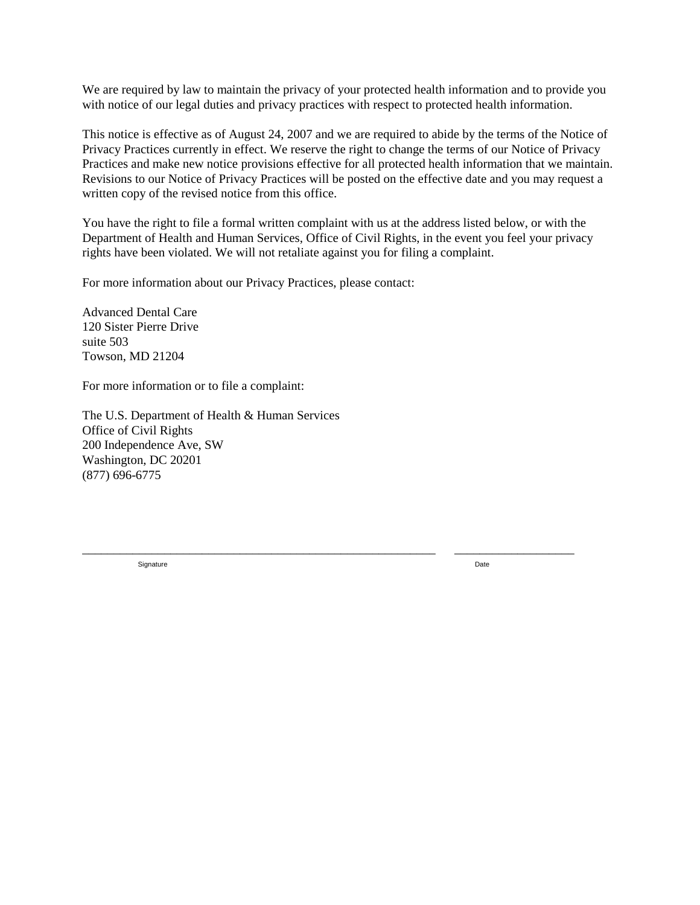We are required by law to maintain the privacy of your protected health information and to provide you with notice of our legal duties and privacy practices with respect to protected health information.

This notice is effective as of August 24, 2007 and we are required to abide by the terms of the Notice of Privacy Practices currently in effect. We reserve the right to change the terms of our Notice of Privacy Practices and make new notice provisions effective for all protected health information that we maintain. Revisions to our Notice of Privacy Practices will be posted on the effective date and you may request a written copy of the revised notice from this office.

You have the right to file a formal written complaint with us at the address listed below, or with the Department of Health and Human Services, Office of Civil Rights, in the event you feel your privacy rights have been violated. We will not retaliate against you for filing a complaint.

\_\_\_\_\_\_\_\_\_\_\_\_\_\_\_\_\_\_\_\_\_\_\_\_\_\_\_\_\_\_\_\_\_\_\_\_\_\_\_\_\_\_\_\_\_\_\_\_\_\_\_\_\_\_\_\_ \_\_\_\_\_\_\_\_\_\_\_\_\_\_\_\_\_\_\_

For more information about our Privacy Practices, please contact:

Advanced Dental Care 120 Sister Pierre Drive suite 503 Towson, MD 21204

For more information or to file a complaint:

The U.S. Department of Health & Human Services Office of Civil Rights 200 Independence Ave, SW Washington, DC 20201 (877) 696-6775

Signature Date **Date of the Contract of Contract Contract of Contract Contract Contract On the Date Only and Contract Only and Contract Only and Contract Only and Contract Only and Contract Only and Contract Only and Contr**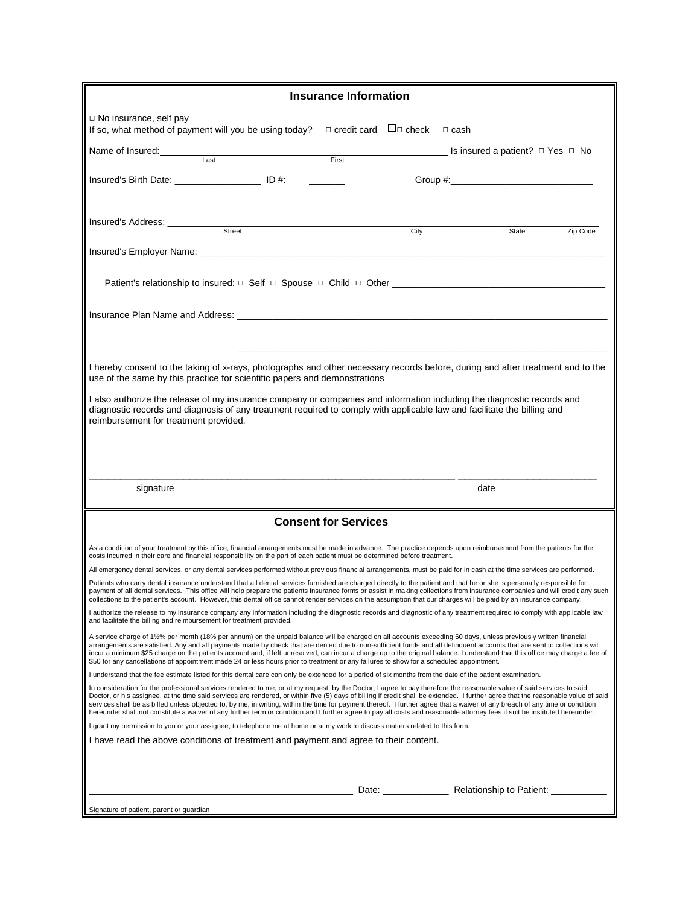|                                                                                                                                                                                                                                                                                                                                                                                                                                                                                                                                                                                                                                                                                                                             | <b>Insurance Information</b>                |      |                                                   |          |
|-----------------------------------------------------------------------------------------------------------------------------------------------------------------------------------------------------------------------------------------------------------------------------------------------------------------------------------------------------------------------------------------------------------------------------------------------------------------------------------------------------------------------------------------------------------------------------------------------------------------------------------------------------------------------------------------------------------------------------|---------------------------------------------|------|---------------------------------------------------|----------|
| $\Box$ No insurance, self pay<br>If so, what method of payment will you be using today?                                                                                                                                                                                                                                                                                                                                                                                                                                                                                                                                                                                                                                     | $\Box$ credit card $\Box$ check $\Box$ cash |      |                                                   |          |
| Name of Insured:<br>Last                                                                                                                                                                                                                                                                                                                                                                                                                                                                                                                                                                                                                                                                                                    |                                             |      | <b>Eirst IS insured a patient?</b> $□$ Yes $□$ No |          |
| Insured's Birth Date: _____________________ ID #:____________________________Group #:_________________________                                                                                                                                                                                                                                                                                                                                                                                                                                                                                                                                                                                                              |                                             |      |                                                   |          |
| Insured's Address: <u>Street</u>                                                                                                                                                                                                                                                                                                                                                                                                                                                                                                                                                                                                                                                                                            |                                             | City | State                                             | Zip Code |
|                                                                                                                                                                                                                                                                                                                                                                                                                                                                                                                                                                                                                                                                                                                             |                                             |      |                                                   |          |
|                                                                                                                                                                                                                                                                                                                                                                                                                                                                                                                                                                                                                                                                                                                             |                                             |      |                                                   |          |
|                                                                                                                                                                                                                                                                                                                                                                                                                                                                                                                                                                                                                                                                                                                             |                                             |      |                                                   |          |
|                                                                                                                                                                                                                                                                                                                                                                                                                                                                                                                                                                                                                                                                                                                             |                                             |      |                                                   |          |
| I hereby consent to the taking of x-rays, photographs and other necessary records before, during and after treatment and to the<br>use of the same by this practice for scientific papers and demonstrations                                                                                                                                                                                                                                                                                                                                                                                                                                                                                                                |                                             |      |                                                   |          |
| I also authorize the release of my insurance company or companies and information including the diagnostic records and<br>diagnostic records and diagnosis of any treatment required to comply with applicable law and facilitate the billing and<br>reimbursement for treatment provided.                                                                                                                                                                                                                                                                                                                                                                                                                                  |                                             |      |                                                   |          |
|                                                                                                                                                                                                                                                                                                                                                                                                                                                                                                                                                                                                                                                                                                                             |                                             |      |                                                   |          |
|                                                                                                                                                                                                                                                                                                                                                                                                                                                                                                                                                                                                                                                                                                                             |                                             |      |                                                   |          |
|                                                                                                                                                                                                                                                                                                                                                                                                                                                                                                                                                                                                                                                                                                                             |                                             |      |                                                   |          |
| signature                                                                                                                                                                                                                                                                                                                                                                                                                                                                                                                                                                                                                                                                                                                   |                                             |      | date                                              |          |
|                                                                                                                                                                                                                                                                                                                                                                                                                                                                                                                                                                                                                                                                                                                             | <b>Consent for Services</b>                 |      |                                                   |          |
| As a condition of your treatment by this office, financial arrangements must be made in advance. The practice depends upon reimbursement from the patients for the<br>costs incurred in their care and financial responsibility on the part of each patient must be determined before treatment.                                                                                                                                                                                                                                                                                                                                                                                                                            |                                             |      |                                                   |          |
| All emergency dental services, or any dental services performed without previous financial arrangements, must be paid for in cash at the time services are performed.                                                                                                                                                                                                                                                                                                                                                                                                                                                                                                                                                       |                                             |      |                                                   |          |
| Patients who carry dental insurance understand that all dental services furnished are charged directly to the patient and that he or she is personally responsible for<br>payment of all dental services. This office will help prepare the patients insurance forms or assist in making collections from insurance companies and will credit any such<br>collections to the patient's account. However, this dental office cannot render services on the assumption that our charges will be paid by an insurance company.                                                                                                                                                                                                 |                                             |      |                                                   |          |
| I authorize the release to my insurance company any information including the diagnostic records and diagnostic of any treatment required to comply with applicable law<br>and facilitate the billing and reimbursement for treatment provided.                                                                                                                                                                                                                                                                                                                                                                                                                                                                             |                                             |      |                                                   |          |
| A service charge of 1½% per month (18% per annum) on the unpaid balance will be charged on all accounts exceeding 60 days, unless previously written financial<br>arrangements are satisfied. Any and all payments made by check that are denied due to non-sufficient funds and all delinquent accounts that are sent to collections will<br>incur a minimum \$25 charge on the patients account and, if left unresolved, can incur a charge up to the original balance. I understand that this office may charge a fee of<br>\$50 for any cancellations of appointment made 24 or less hours prior to treatment or any failures to show for a scheduled appointment.                                                      |                                             |      |                                                   |          |
| I understand that the fee estimate listed for this dental care can only be extended for a period of six months from the date of the patient examination.                                                                                                                                                                                                                                                                                                                                                                                                                                                                                                                                                                    |                                             |      |                                                   |          |
| In consideration for the professional services rendered to me, or at my request, by the Doctor, I agree to pay therefore the reasonable value of said services to said<br>Doctor, or his assignee, at the time said services are rendered, or within five (5) days of billing if credit shall be extended. I further agree that the reasonable value of said<br>services shall be as billed unless objected to, by me, in writing, within the time for payment thereof. I further agree that a waiver of any breach of any time or condition<br>hereunder shall not constitute a waiver of any further term or condition and I further agree to pay all costs and reasonable attorney fees if suit be instituted hereunder. |                                             |      |                                                   |          |
| I grant my permission to you or your assignee, to telephone me at home or at my work to discuss matters related to this form.                                                                                                                                                                                                                                                                                                                                                                                                                                                                                                                                                                                               |                                             |      |                                                   |          |
| I have read the above conditions of treatment and payment and agree to their content.                                                                                                                                                                                                                                                                                                                                                                                                                                                                                                                                                                                                                                       |                                             |      |                                                   |          |
|                                                                                                                                                                                                                                                                                                                                                                                                                                                                                                                                                                                                                                                                                                                             |                                             |      |                                                   |          |
|                                                                                                                                                                                                                                                                                                                                                                                                                                                                                                                                                                                                                                                                                                                             |                                             |      | Date: Relationship to Patient:                    |          |
| Signature of patient, parent or guardian                                                                                                                                                                                                                                                                                                                                                                                                                                                                                                                                                                                                                                                                                    |                                             |      |                                                   |          |